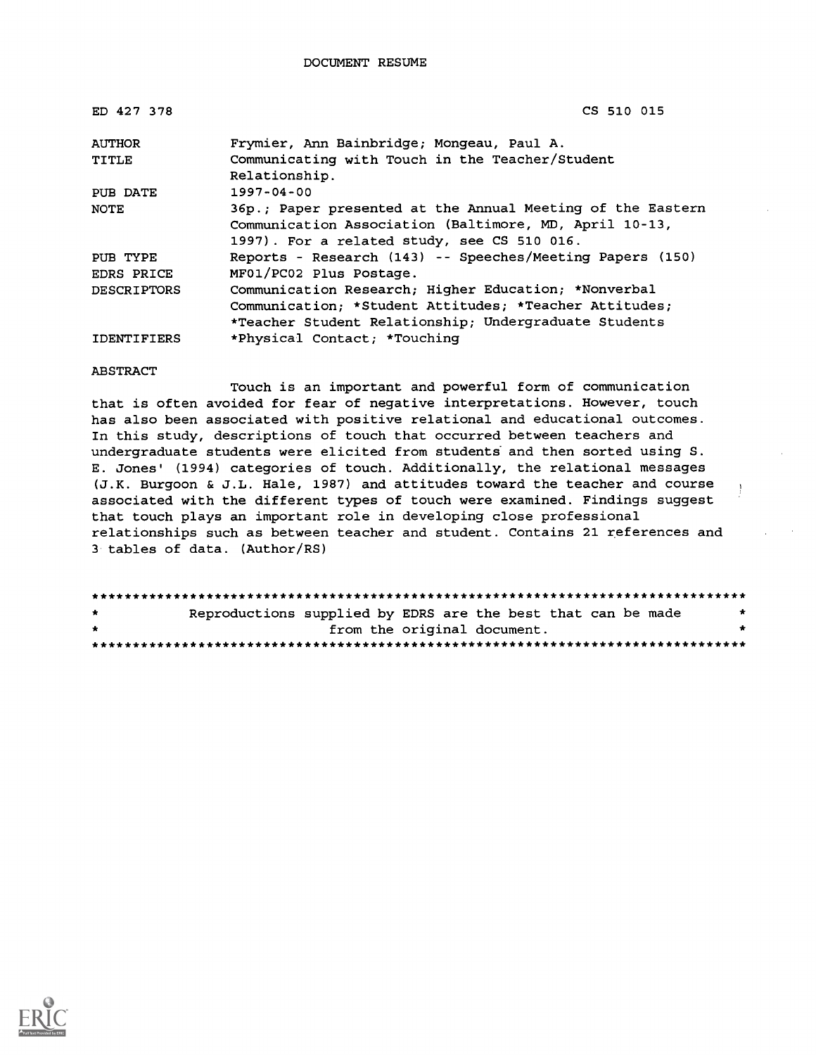| ED 427 378         | CS 510 015                                                                                                           |
|--------------------|----------------------------------------------------------------------------------------------------------------------|
| <b>AUTHOR</b>      | Frymier, Ann Bainbridge; Mongeau, Paul A.                                                                            |
| TITLE              | Communicating with Touch in the Teacher/Student<br>Relationship.                                                     |
| PUB DATE           | $1997 - 04 - 00$                                                                                                     |
| NOTE               | 36p.; Paper presented at the Annual Meeting of the Eastern<br>Communication Association (Baltimore, MD, April 10-13, |
|                    | 1997). For a related study, see CS 510 016.                                                                          |
| PUB TYPE           | Reports - Research (143) -- Speeches/Meeting Papers (150)                                                            |
| <b>EDRS PRICE</b>  | MF01/PC02 Plus Postage.                                                                                              |
| <b>DESCRIPTORS</b> | Communication Research; Higher Education; *Nonverbal                                                                 |
|                    | Communication; *Student Attitudes; *Teacher Attitudes;                                                               |
|                    | *Teacher Student Relationship; Undergraduate Students                                                                |
| <b>IDENTIFIERS</b> | *Physical Contact; *Touching                                                                                         |

#### ABSTRACT

Touch is an important and powerful form of communication that is often avoided for fear of negative interpretations. However, touch has also been associated with positive relational and educational outcomes. In this study, descriptions of touch that occurred between teachers and undergraduate students were elicited from students" and then sorted using S. E. Jones' (1994) categories of touch. Additionally, the relational messages (J.K. Burgoon & J.L. Hale, 1987) and attitudes toward the teacher and course associated with the different types of touch were examined. Findings suggest that touch plays an important role in developing close professional relationships such as between teacher and student. Contains 21 references and 3 tables of data. (Author/RS)

| $\star$      | Reproductions supplied by EDRS are the best that can be made |                             |  |  |  |
|--------------|--------------------------------------------------------------|-----------------------------|--|--|--|
| $\mathbf{r}$ |                                                              | from the original document. |  |  |  |
|              |                                                              |                             |  |  |  |

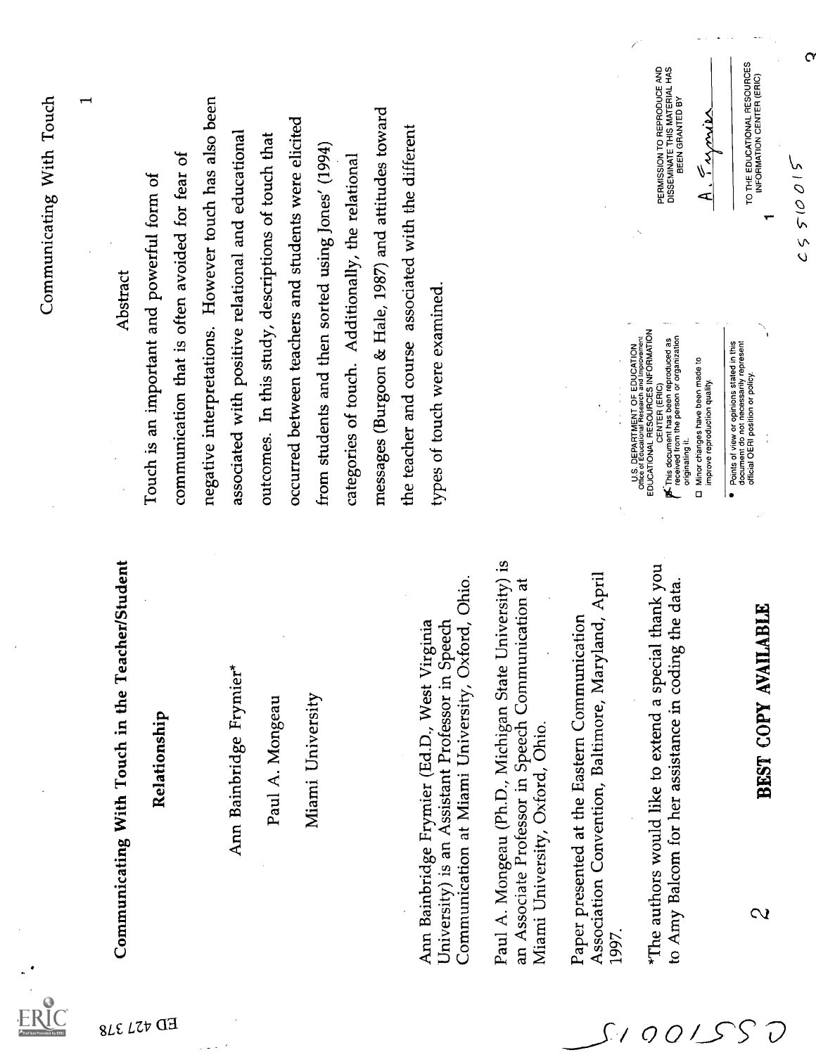|                                                                                                                                                             | Communicating With Touch                                                                                                                                                                                                                                                                                                                  |                                                                                           |
|-------------------------------------------------------------------------------------------------------------------------------------------------------------|-------------------------------------------------------------------------------------------------------------------------------------------------------------------------------------------------------------------------------------------------------------------------------------------------------------------------------------------|-------------------------------------------------------------------------------------------|
|                                                                                                                                                             |                                                                                                                                                                                                                                                                                                                                           | ↽                                                                                         |
| eacher/Student<br>Communicating With Touch in the T                                                                                                         | Abstract                                                                                                                                                                                                                                                                                                                                  |                                                                                           |
| Relationship                                                                                                                                                | Touch is an important and powerful form of                                                                                                                                                                                                                                                                                                |                                                                                           |
|                                                                                                                                                             | communication that is often avoided for fear of                                                                                                                                                                                                                                                                                           |                                                                                           |
|                                                                                                                                                             | negative interpretations. However touch has also been                                                                                                                                                                                                                                                                                     |                                                                                           |
| Ann Bainbridge Frymier*                                                                                                                                     | associated with positive relational and educational                                                                                                                                                                                                                                                                                       |                                                                                           |
| Paul A. Mongeau                                                                                                                                             | outcomes. In this study, descriptions of touch that                                                                                                                                                                                                                                                                                       |                                                                                           |
|                                                                                                                                                             | occurred between teachers and students were elicited                                                                                                                                                                                                                                                                                      |                                                                                           |
| Miami University                                                                                                                                            | from students and then sorted using Jones' (1994)                                                                                                                                                                                                                                                                                         |                                                                                           |
|                                                                                                                                                             | categories of touch. Additionally, the relational                                                                                                                                                                                                                                                                                         |                                                                                           |
|                                                                                                                                                             | messages (Burgoon & Hale, 1987) and attitudes toward                                                                                                                                                                                                                                                                                      |                                                                                           |
|                                                                                                                                                             | the teacher and course associated with the different                                                                                                                                                                                                                                                                                      |                                                                                           |
| Oxford, Ohio<br>Speech<br>Virginia<br>University) is an Assistant Professor in<br>Ann Bainbridge Frymier (Ed.D., West<br>Communication at Miami University, | types of touch were examined.                                                                                                                                                                                                                                                                                                             |                                                                                           |
| Paul A. Mongeau (Ph.D., Michigan State University) is<br>an Associate Professor in Speech Communication at<br>Miami University, Oxford, Ohio.               |                                                                                                                                                                                                                                                                                                                                           |                                                                                           |
| Association Convention, Baltimore, Maryland, April<br>Paper presented at the Eastern Communication<br>1997.                                                 |                                                                                                                                                                                                                                                                                                                                           |                                                                                           |
| *The authors would like to extend a special thank you<br>to Amy Balcom for her assistance in coding the data.                                               | A. Farmies<br>EDUCATIONAL RESOURCES INFORMATION<br><b>E</b> This document has been reproduced as<br>received from the person or organization<br>U.S. DEPARTMENT OF EDUCATION<br>Office of Educational Research and Improveme<br>Minor changes have been made to<br>improve reproduction quality.<br>CENTER (ERIC)<br>originating it.<br>O | PERMISSION TO REPRODUCE AND<br>DISSEMINATE THIS MATERIAL HAS<br>DISSEMINATE THIS MATED BY |
| BEST COPY AVAILABLE<br>$\mathbf{\Omega}$                                                                                                                    | ┯<br>Points of view or opinions stated in this<br>document do not necessarily represent<br>official OERI position or policy.                                                                                                                                                                                                              | TO THE EDUCATIONAL RESOURCES                                                              |
|                                                                                                                                                             | 510015<br>$\zeta$                                                                                                                                                                                                                                                                                                                         |                                                                                           |
|                                                                                                                                                             |                                                                                                                                                                                                                                                                                                                                           |                                                                                           |
|                                                                                                                                                             |                                                                                                                                                                                                                                                                                                                                           |                                                                                           |

ED 421 318

ŀ

 $S/00/SSO$ 

 $\mathbf C$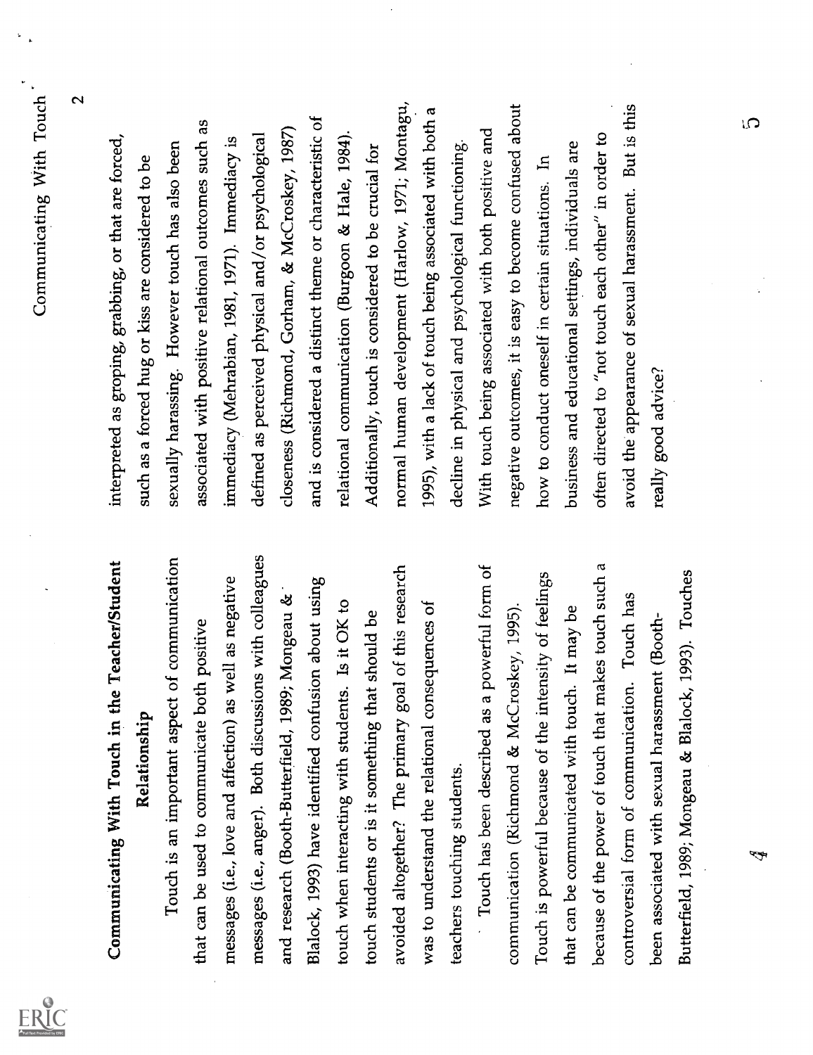ERIC<br>ERIC

Communisting With Tusti in the Tacker<br>Summinizing With Tusti in the Tacker<br>Summinizing With Tusti in the Tacker<br>Summinizing With Tusti in the Tacker<br>Summinizing With Tusti in the Tacker<br>Summing Constraint of the second of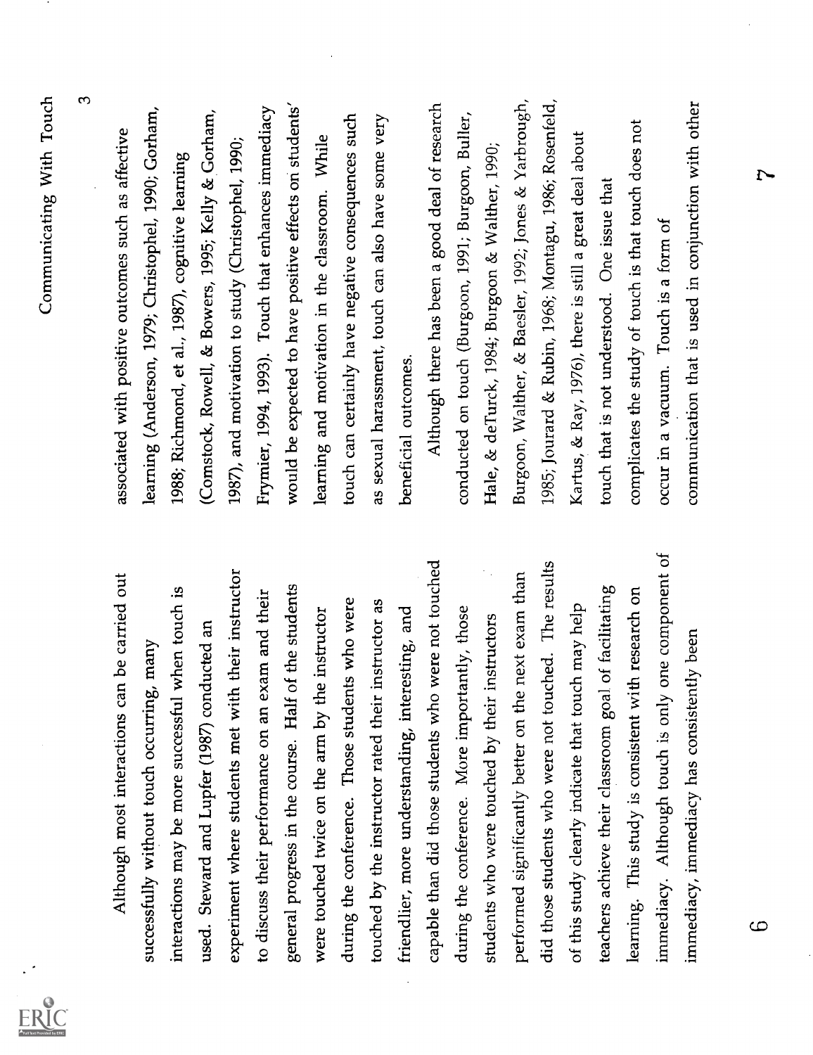ERIC

Although most intendention can be carried number of the second with positive our<br>constanting most intendention can be carried and the meaning (Anderson, 1995, Centauring<br>discussibly without bursts constants are equilibriu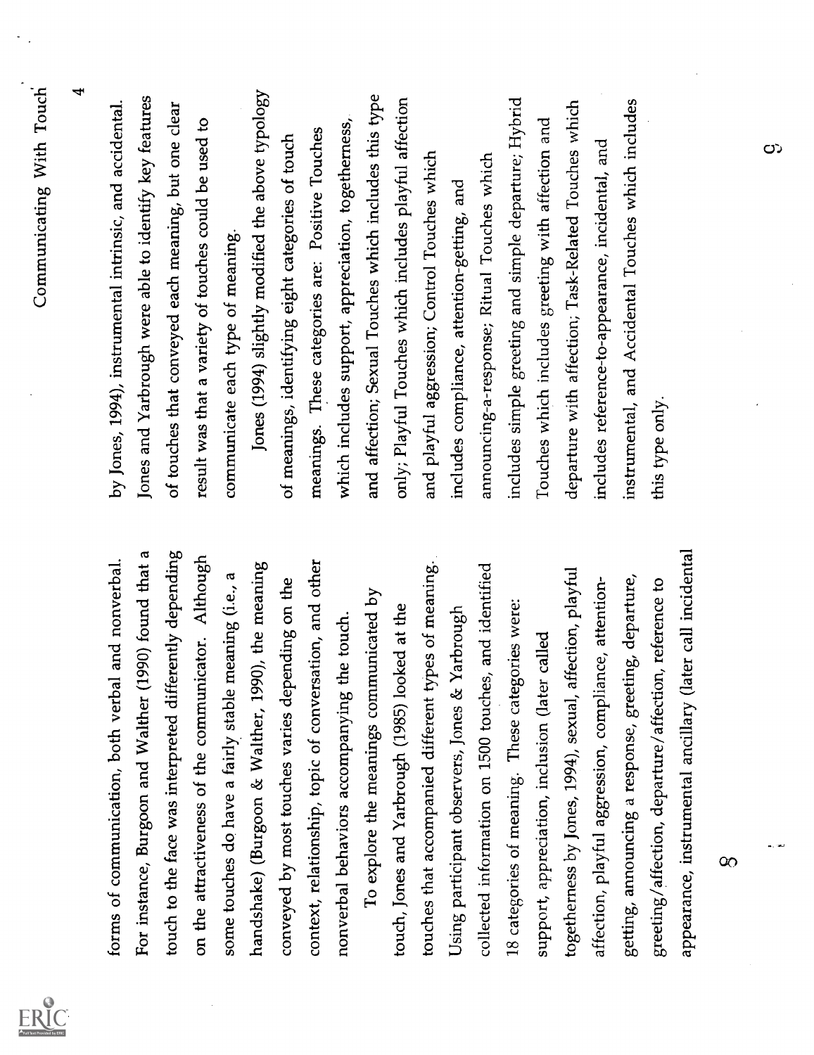| ERIC<br>Provided by<br>1533 |
|-----------------------------|

Communication, buth with a had nonvertal.<br>
For the communication, buth with a had nonvertal.<br>
For the face was integreted differently depending of colecules that conveyed each manual intensio, and section<br>
For the face wa

တ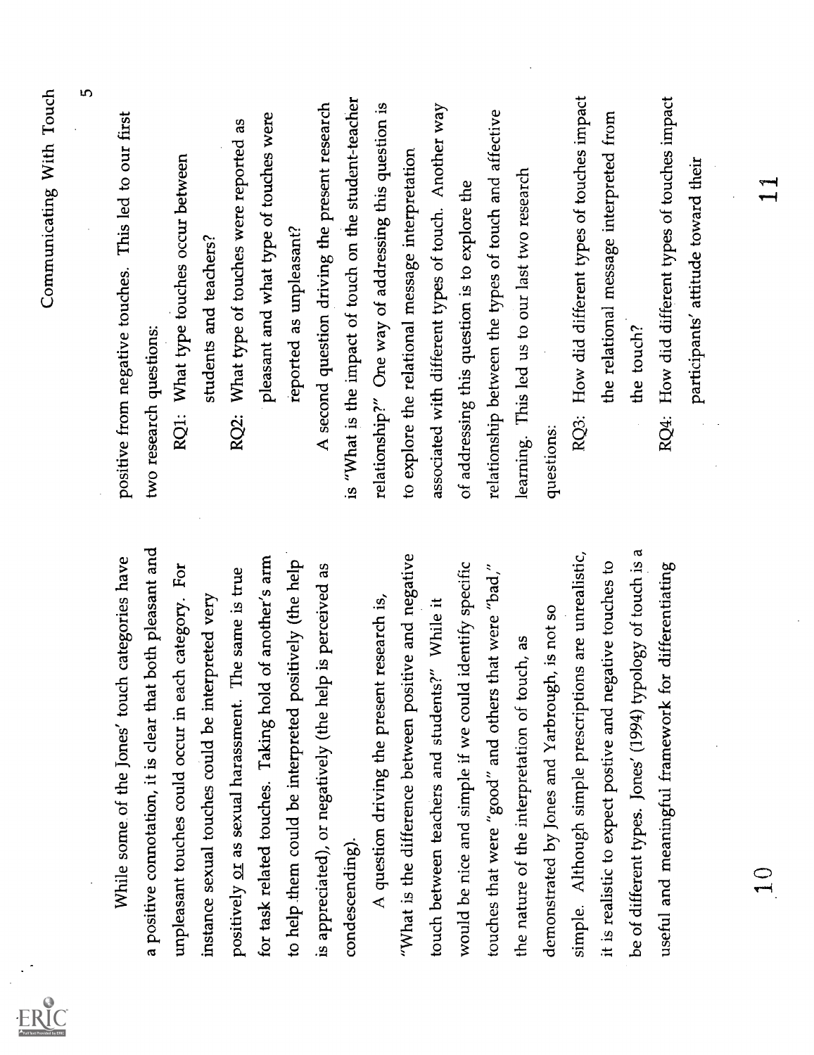| Į                                                      |                                                             |
|--------------------------------------------------------|-------------------------------------------------------------|
|                                                        |                                                             |
| participants' attitude toward their                    |                                                             |
| RQ4: How did different types of touches impact         | for differentiating<br>useful and meaningful framework      |
| the touch?                                             | be of different types. Jones' (1994) typology of touch is a |
| the relational message interpreted from                | it is realistic to expect postive and negative touches to   |
| RQ3: How did different types of touches impact         | simple. Although simple prescriptions are unrealistic,      |
| questions:                                             | demonstrated by Jones and Yarbrough, is not so              |
| learning. This led us to our last two research         | touch, as<br>the nature of the interpretation of t          |
| relationship between the types of touch and affective  | touches that were "good" and others that were "bad,"        |
| of addressing this question is to explore the          | would be nice and simple if we could identify specific      |
| associated with different types of touch. Another way  | touch between teachers and students?" While it              |
| to explore the relational message interpretation       | "What is the difference between positive and negative       |
| relationship?" One way of addressing this question is  | A question driving the present research is,                 |
| is "What is the impact of touch on the student-teacher | condescending).                                             |
| A second question driving the present research         | is appreciated), or negatively (the help is perceived as    |
| reported as unpleasant?                                | to help them could be interpreted positively (the help      |
| pleasant and what type of touches were                 | for task related touches. Taking hold of another's arm      |
| What type of touches were reported as<br>RQ2:          | The same is true<br>positively or as sexual harassment.     |
| students and teachers?                                 | instance sexual touches could be interpreted very           |
| RQ1: What type touches occur between                   | unpleasant touches could occur in each category. For        |
| two research questions:                                | a positive connotation, it is clear that both pleasant and  |
| positive from negative touches. This led to our first  | While some of the Jones' touch categories have              |
| 5                                                      |                                                             |
| Communicating With Touch                               |                                                             |
|                                                        |                                                             |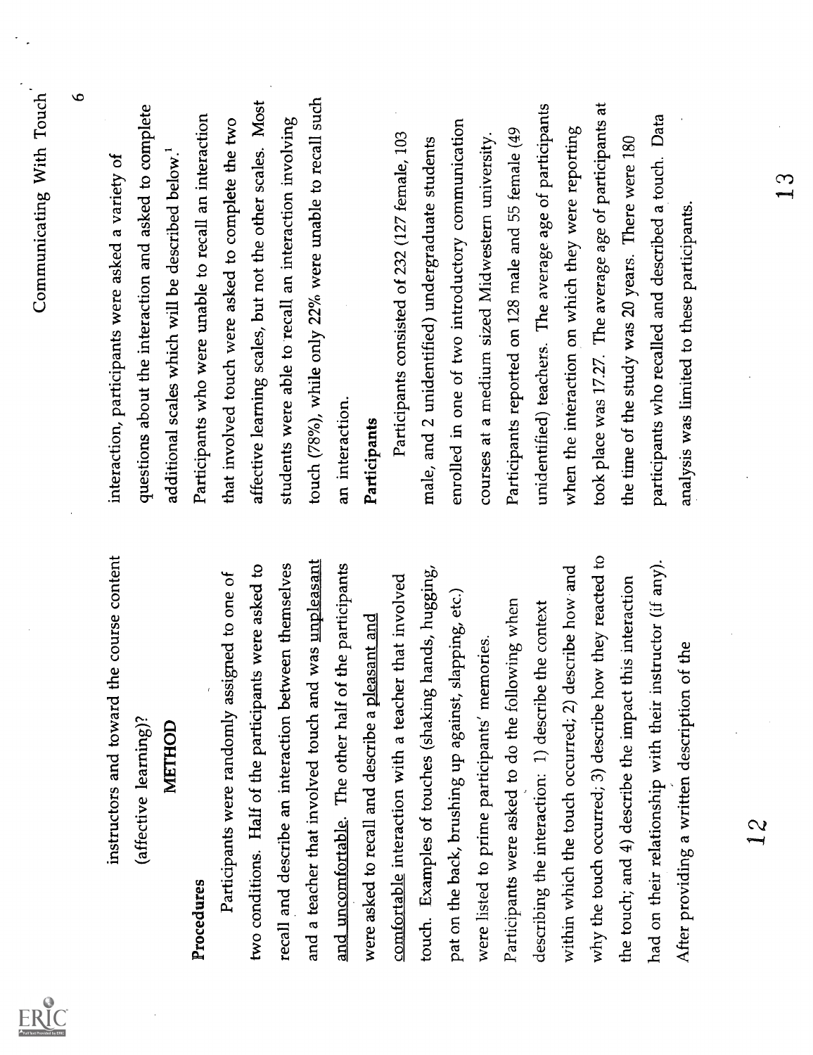|                                                              | Communicating With Touch                                      |
|--------------------------------------------------------------|---------------------------------------------------------------|
|                                                              | $\mathbf{\sigma}$                                             |
| instructors and toward the course content                    | interaction, participants were asked a variety of             |
| (affective learning)?                                        | questions about the interaction and asked to complete         |
| METHOD                                                       | additional scales which will be described below. <sup>1</sup> |
| Procedures                                                   | Participants who were unable to recall an interaction         |
| assigned to one of<br>Participants were randomly             | that involved touch were asked to complete the two            |
| ants were asked to<br>two conditions. Half of the particip   | affective learning scales, but not the other scales. Most     |
| recall and describe an interaction between themselves        | students were able to recall an interaction involving         |
| and a teacher that involved touch and was unpleasant         | touch (78%), while only 22% were unable to recall such        |
| and uncomfortable. The other half of the participants        | an interaction.                                               |
| were asked to recall and describe a pleasant and             | Participants                                                  |
| comfortable interaction with a teacher that involved         | Participants consisted of 232 (127 female, 103                |
| touch. Examples of touches (shaking hands, hugging,          | male, and 2 unidentified) undergraduate students              |
| pat on the back, brushing up against, slapping, etc.)        | enrolled in one of two introductory communication             |
| were listed to prime participants' memories                  | courses at a medium sized Midwestern university.              |
| Participants were asked to do the following when             | Participants reported on 128 male and 55 female (49           |
| describing the interaction: 1) describe the context          | unidentified) teachers. The average age of participants       |
| describe how and<br>within which the touch occurred; 2)      | when the interaction on which they were reporting             |
| how they reacted to<br>why the touch occurred; 3) describe   | took place was 17.27. The average age of participants at      |
| the touch; and 4) describe the impact this interaction       | the time of the study was 20 years. There were 180            |
| instructor (if any).<br>had on their relationship with their | participants who recalled and described a touch. Data         |
| After providing a written description of the                 | analysis was limited to these participants.                   |
| 12                                                           |                                                               |
|                                                              |                                                               |

 $ERIC$ 

 $\mathbf{13}$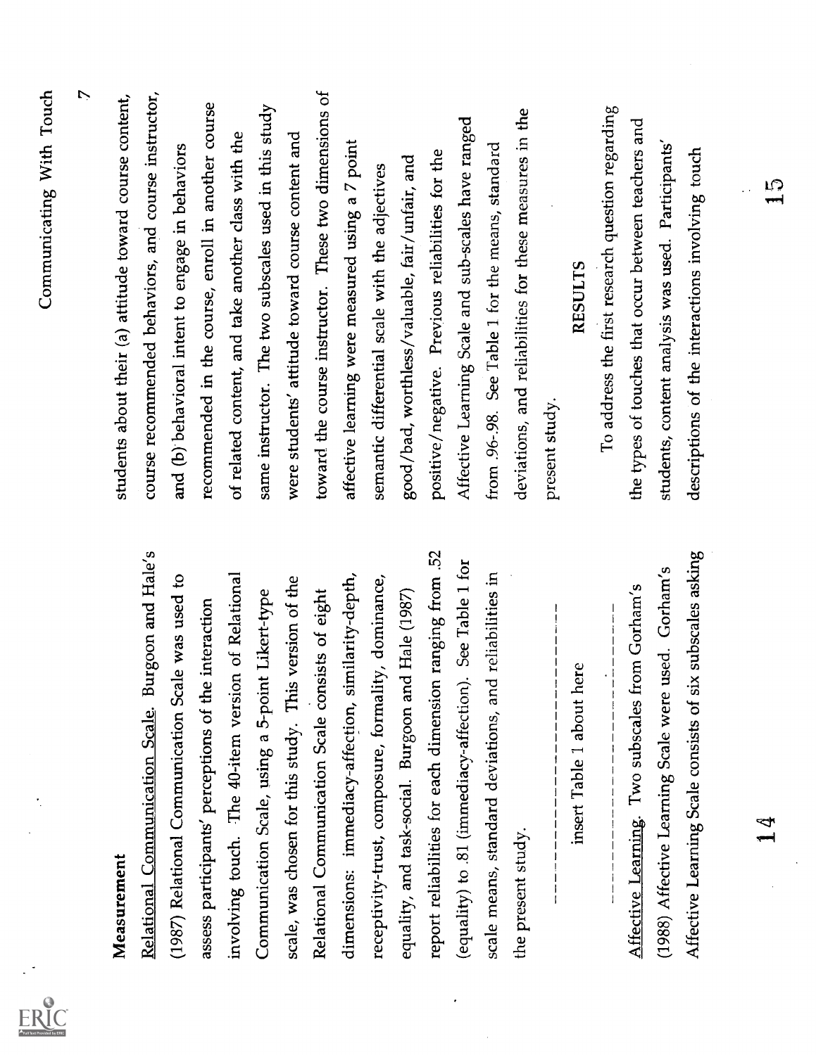|                                                              | Communicating With Touch                                 |
|--------------------------------------------------------------|----------------------------------------------------------|
|                                                              | $\triangleright$                                         |
| Measurement                                                  | students about their (a) attitude toward course content, |
| Burgoon and Hale's<br>Relational Communication Scale.        | course recommended behaviors, and course instructor,     |
| (1987) Relational Communication Scale was used to            | and (b) behavioral intent to engage in behaviors         |
| assess participants' perceptions of the interaction          | recommended in the course, enroll in another course      |
| involving touch. The 40-item version of Relational           | of related content, and take another class with the      |
| Communication Scale, using a 5-point Likert-type             | same instructor. The two subscales used in this study    |
| scale, was chosen for this study. This version of the        | were students' attitude toward course content and        |
| Relational Communication Scale consists of eight             | toward the course instructor. These two dimensions of    |
| similarity-depth,<br>dimensions: immediacy-affection,        | affective learning were measured using a 7 point         |
| receptivity-trust, composure, formality, dominance,          | semantic differential scale with the adjectives          |
| equality, and task-social. Burgoon and Hale (1987)           | good/bad, worthless/valuable, fair/unfair, and           |
| report reliabilities for each dimension ranging from .52     | positive/negative. Previous reliabilities for the        |
| (equality) to .81 (immediacy-affection). See Table 1 for     | Affective Learning Scale and sub-scales have ranged      |
| scale means, standard deviations, and reliabilities in       | from .96-.98. See Table 1 for the means, standard        |
| the present study.                                           | deviations, and reliabilities for these measures in the  |
|                                                              | present study.                                           |
| here<br>insert Table 1 about                                 | <b>RESULTS</b>                                           |
|                                                              | To address the first research question regarding         |
| from Gorham's<br>Affective Learning. Two subscales           | the types of touches that occur between teachers and     |
| (1988) Affective Learning Scale were used. Gorham's          | students, content analysis was used. Participants'       |
| six subscales asking<br>Affective Learning Scale consists of | descriptions of the interactions involving touch         |
|                                                              |                                                          |
| ₹                                                            | $\frac{5}{1}$                                            |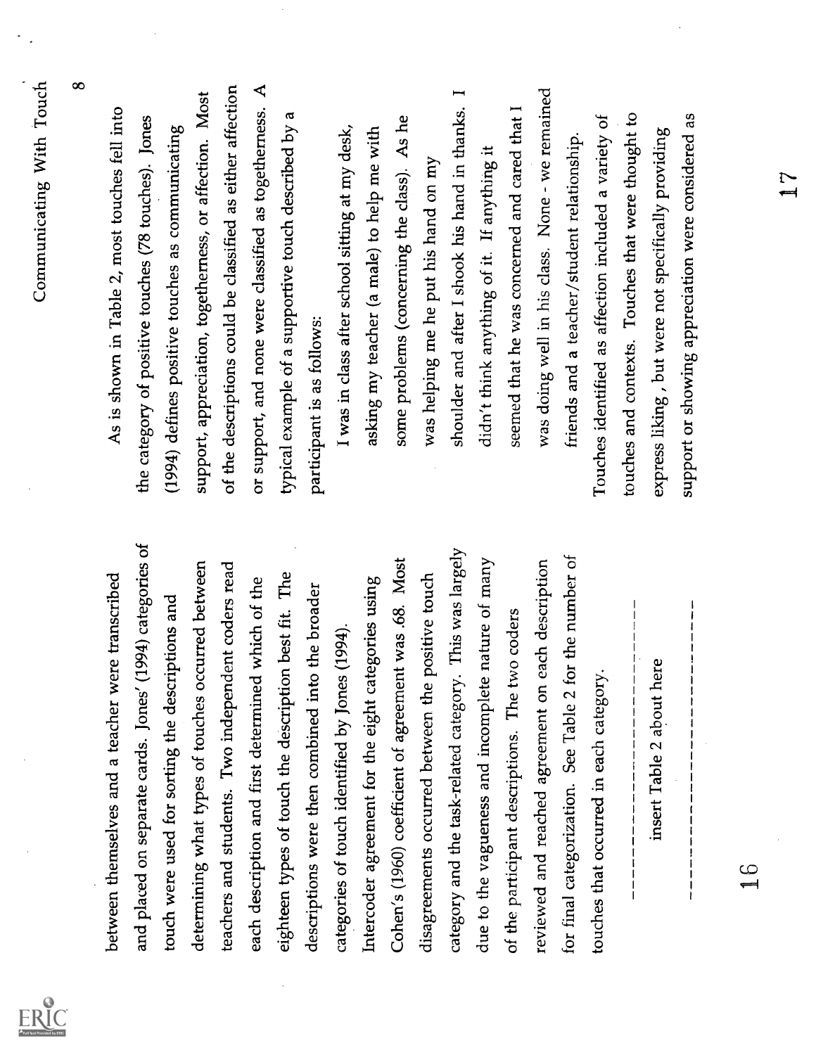Commutating With Parkinson and the comparison of the state of the state of the fractional state of the state of the state of the state of the state of the state of the state of the state of the state of the state of the s

 $ERC$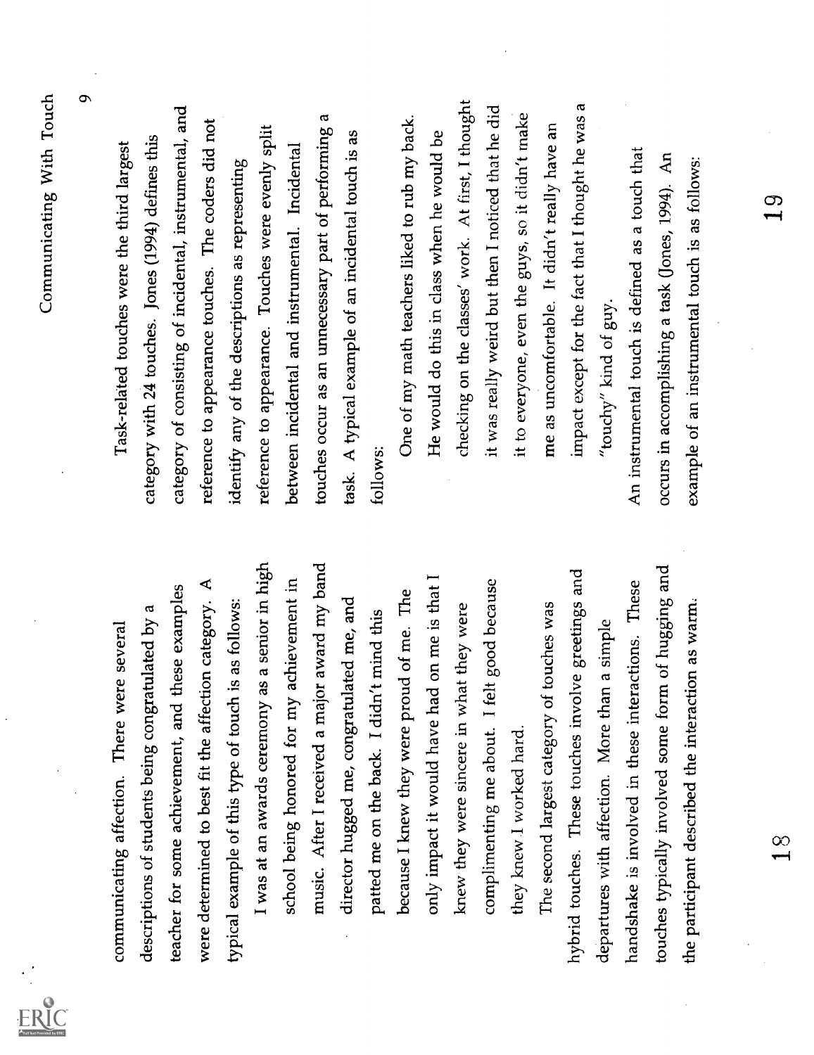Communicating sifection. These searches are several cause<br>of the section of the search of the search of the search of the section of the section of the search of<br>sections of studients being computatively a causagray of co

 $\frac{0}{1}$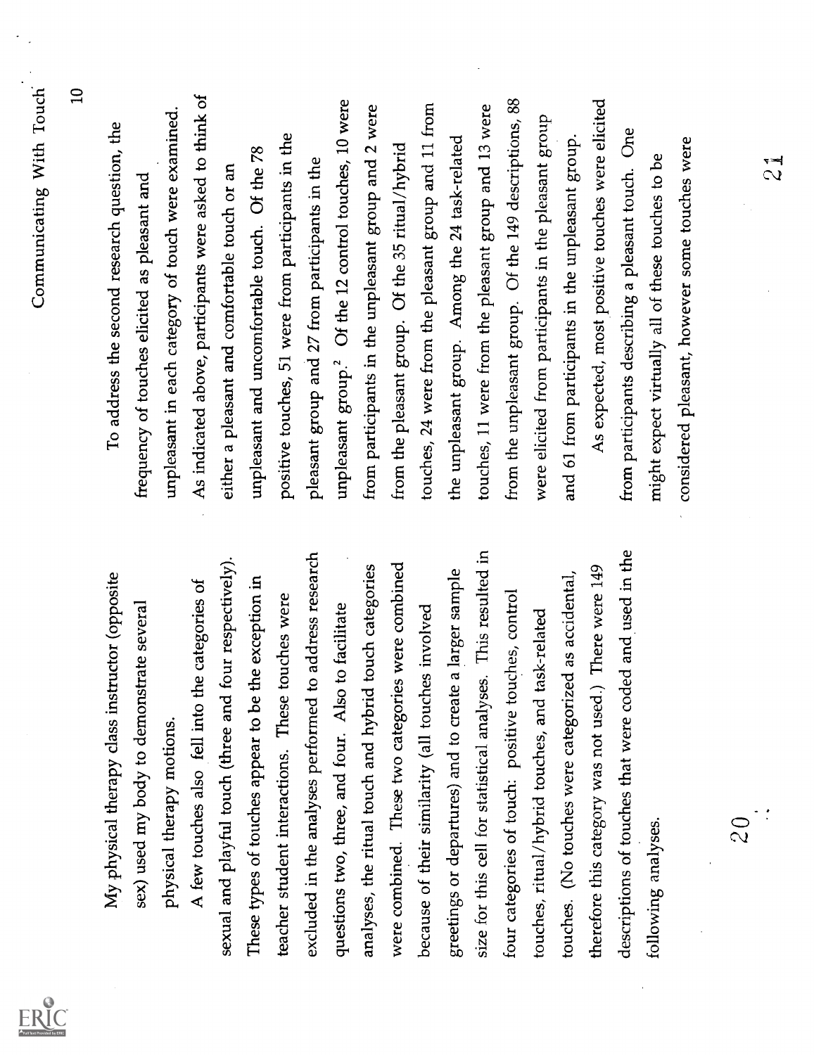| $\frac{1}{2}$                                                     | $\overline{2}0$                                               |
|-------------------------------------------------------------------|---------------------------------------------------------------|
| considered pleasant, however some touches were                    |                                                               |
| might expect virtually all of these touches to be                 | following analyses.                                           |
| One<br>from participants describing a pleasant touch.             | descriptions of touches that were coded and used in the       |
| As expected, most positive touches were elicited                  | therefore this category was not used.) There were 149         |
| and 61 from participants in the unpleasant group.                 | touches. (No touches were categorized as accidental,          |
| were elicited from participants in the pleasant group             | task-related<br>touches, ritual/hybrid touches, and           |
| from the unpleasant group. Of the 149 descriptions, 88            | four categories of touch: positive touches, control           |
| touches, 11 were from the pleasant group and 13 were              | size for this cell for statistical analyses. This resulted in |
| the unpleasant group. Among the 24 task-related                   | greetings or departures) and to create a larger sample        |
| touches, 24 were from the pleasant group and 11 from              | because of their similarity (all touches involved             |
| from the pleasant group. Of the 35 ritual/hybrid                  | were combined. These two categories were combined             |
| from participants in the unpleasant group and 2 were              | analyses, the ritual touch and hybrid touch categories        |
| unpleasant group. <sup>2</sup> Of the 12 control touches, 10 were | questions two, three, and four. Also to facilitate            |
| pleasant group and 27 from participants in the                    | to address research<br>excluded in the analyses performed     |
| positive touches, 51 were from participants in the                | touches were<br>teacher student interactions. These           |
| unpleasant and uncomfortable touch. Of the 78                     | the exception in<br>These types of touches appear to be       |
| either a pleasant and comfortable touch or an                     | four respectively).<br>sexual and playful touch (three and    |
| As indicated above, participants were asked to think of           | A few touches also fell into the categories of                |
| unpleasant in each category of touch were examined.               | physical therapy motions.                                     |
| frequency of touches elicited as pleasant and                     | sex) used my body to demonstrate several                      |
| To address the second research question, the                      | My physical therapy class instructor (opposite                |
| $\Xi$                                                             |                                                               |
| Communicating With Touch                                          |                                                               |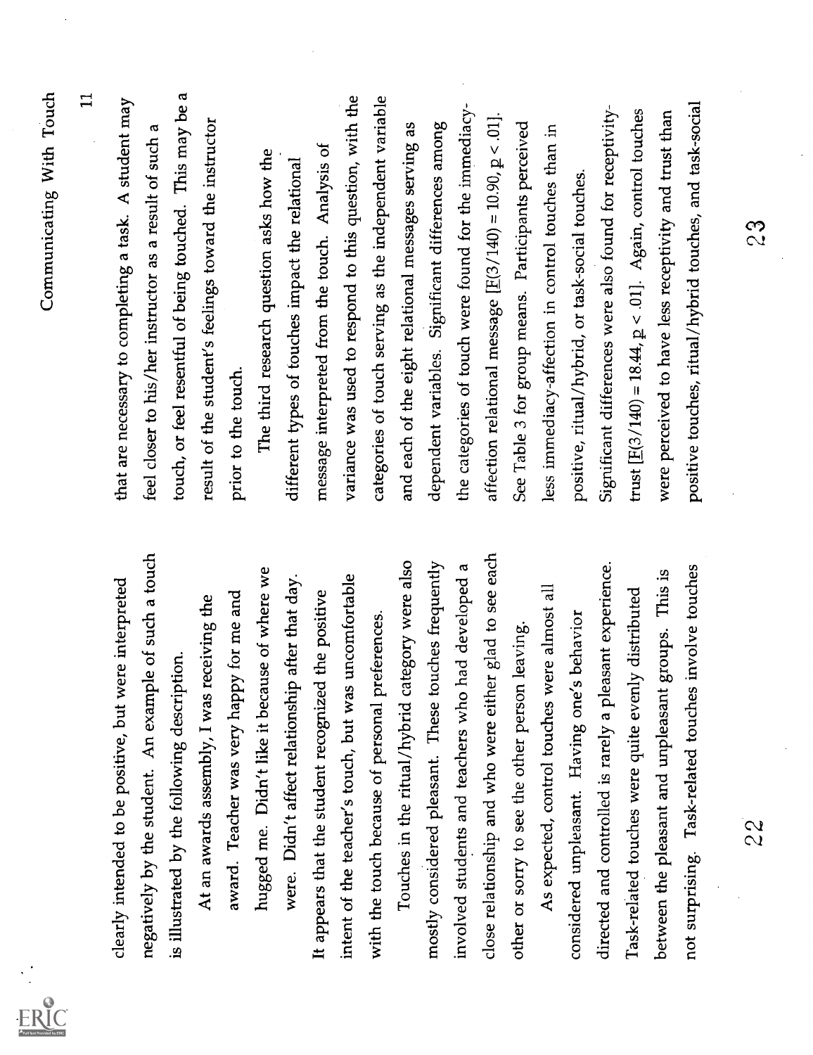| $\mathbf{1}$<br>touch, or feel resentful of being touched. This may be a<br>that are necessary to completing a task. A student may<br>result of the student's feelings toward the instructor<br>feel closer to his/her instructor as a result of such a<br>message interpreted from the touch. Analysis of<br>The third research question asks how the<br>different types of touches impact the relational<br>prior to the touch. |
|-----------------------------------------------------------------------------------------------------------------------------------------------------------------------------------------------------------------------------------------------------------------------------------------------------------------------------------------------------------------------------------------------------------------------------------|
|                                                                                                                                                                                                                                                                                                                                                                                                                                   |
|                                                                                                                                                                                                                                                                                                                                                                                                                                   |
|                                                                                                                                                                                                                                                                                                                                                                                                                                   |
|                                                                                                                                                                                                                                                                                                                                                                                                                                   |
|                                                                                                                                                                                                                                                                                                                                                                                                                                   |
|                                                                                                                                                                                                                                                                                                                                                                                                                                   |
|                                                                                                                                                                                                                                                                                                                                                                                                                                   |
|                                                                                                                                                                                                                                                                                                                                                                                                                                   |
|                                                                                                                                                                                                                                                                                                                                                                                                                                   |
| variance was used to respond to this question, with the                                                                                                                                                                                                                                                                                                                                                                           |
| categories of touch serving as the independent variable                                                                                                                                                                                                                                                                                                                                                                           |
| and each of the eight relational messages serving as                                                                                                                                                                                                                                                                                                                                                                              |
| dependent variables. Significant differences among                                                                                                                                                                                                                                                                                                                                                                                |
| the categories of touch were found for the immediacy-                                                                                                                                                                                                                                                                                                                                                                             |
| affection relational message $[E(3/140) = 10.90, p < .01]$ .                                                                                                                                                                                                                                                                                                                                                                      |
| See Table 3 for group means. Participants perceived                                                                                                                                                                                                                                                                                                                                                                               |
| less immediacy-affection in control touches than in                                                                                                                                                                                                                                                                                                                                                                               |
| positive, ritual/hybrid, or task-social touches.                                                                                                                                                                                                                                                                                                                                                                                  |
| Significant differences were also found for receptivity-                                                                                                                                                                                                                                                                                                                                                                          |
| trust $[E(3/140) = 18.44, p < .01]$ . Again, control touches                                                                                                                                                                                                                                                                                                                                                                      |
| were perceived to have less receptivity and trust than                                                                                                                                                                                                                                                                                                                                                                            |
| positive touches, ritual/hybrid touches, and task-social                                                                                                                                                                                                                                                                                                                                                                          |
|                                                                                                                                                                                                                                                                                                                                                                                                                                   |
| <u>န</u>                                                                                                                                                                                                                                                                                                                                                                                                                          |
|                                                                                                                                                                                                                                                                                                                                                                                                                                   |
|                                                                                                                                                                                                                                                                                                                                                                                                                                   |
|                                                                                                                                                                                                                                                                                                                                                                                                                                   |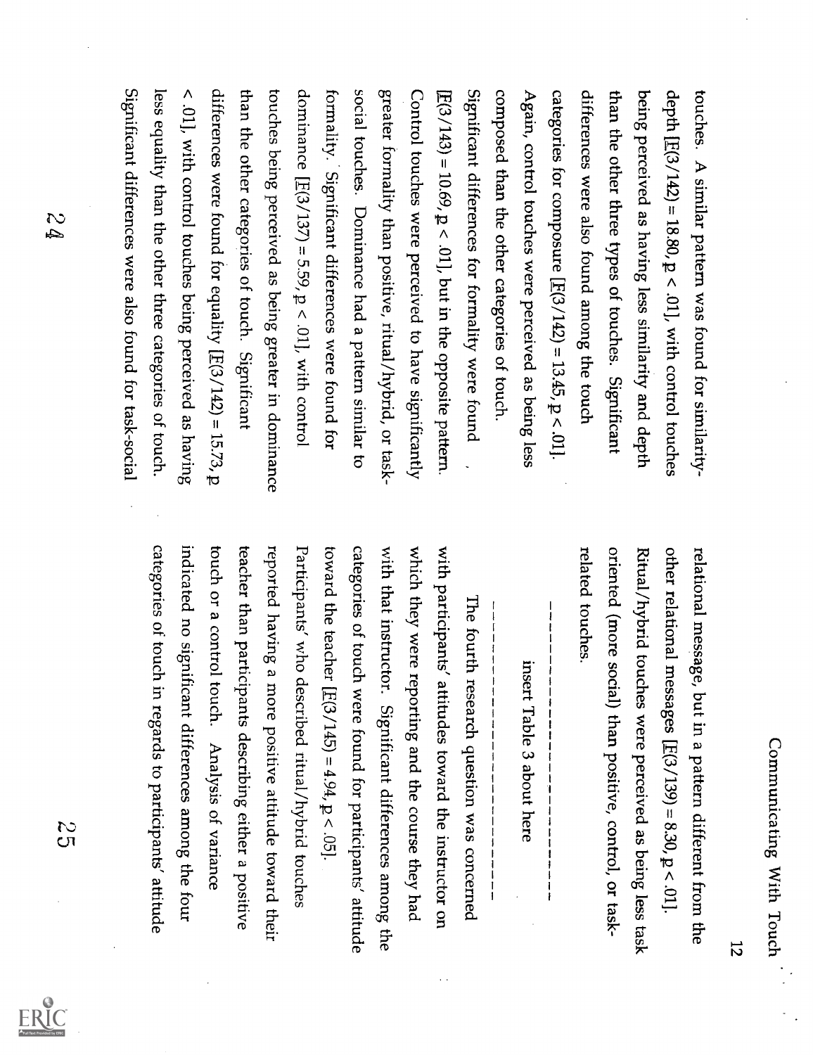bouches. A similar pattern was found for similarity-<br>being. A similar pattern was found for similarity-<br>being pereived as having less similarity and depth<br>the other three types of studies. Significant<br>data where three types of studies. Significant<br>data, we also found among the bound. In<br>4 gain, control touches we are perreive as a being less<br>correspondes having less similarity and depth<br>of the other of the categories of touch<br>components. The total number of the two-dimensional<br>corresponding to the other categories of touch.<br>Constrant differences for formality were found.<br>Constrant of the other categories of touch<br>from all other of the two-dimensional<br>conformality. This is a single less<br>second touches. Dominate real properties of the order in<br>the other energies are the found for<br>the other energies were found for equating to<br>the other energies between the

relational message, but in a pattern different from the<br>
relational message, but in a pattern different from the<br>
other relational message [E(3/139) = 8.30, p < 01].<br>
Rital/hybrid touches were perceived as being less task

 $\frac{5}{5}$ 

ERIC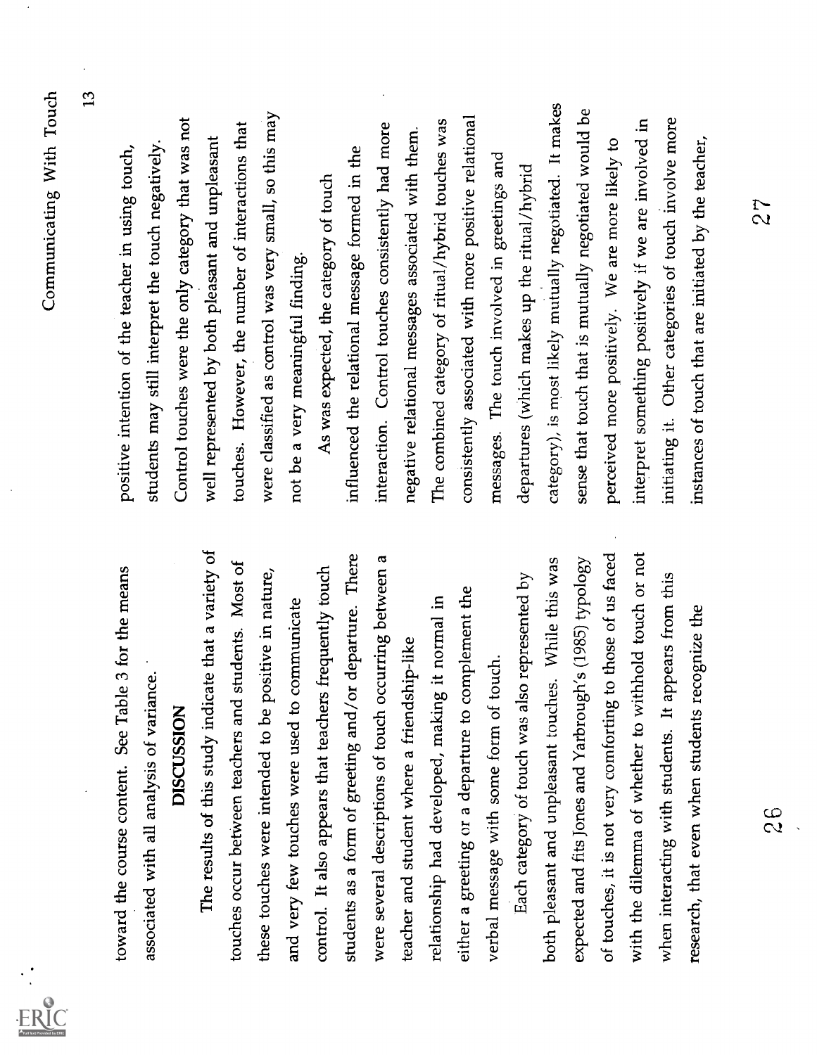$\frac{1}{2}$ 

 $ERIC$ 

Communicating With Toods . See Table 5 for the means passine interdim of the uscher in using two frequents of the same of the same of the same of the same of the same of the same of the same of the same of the same of the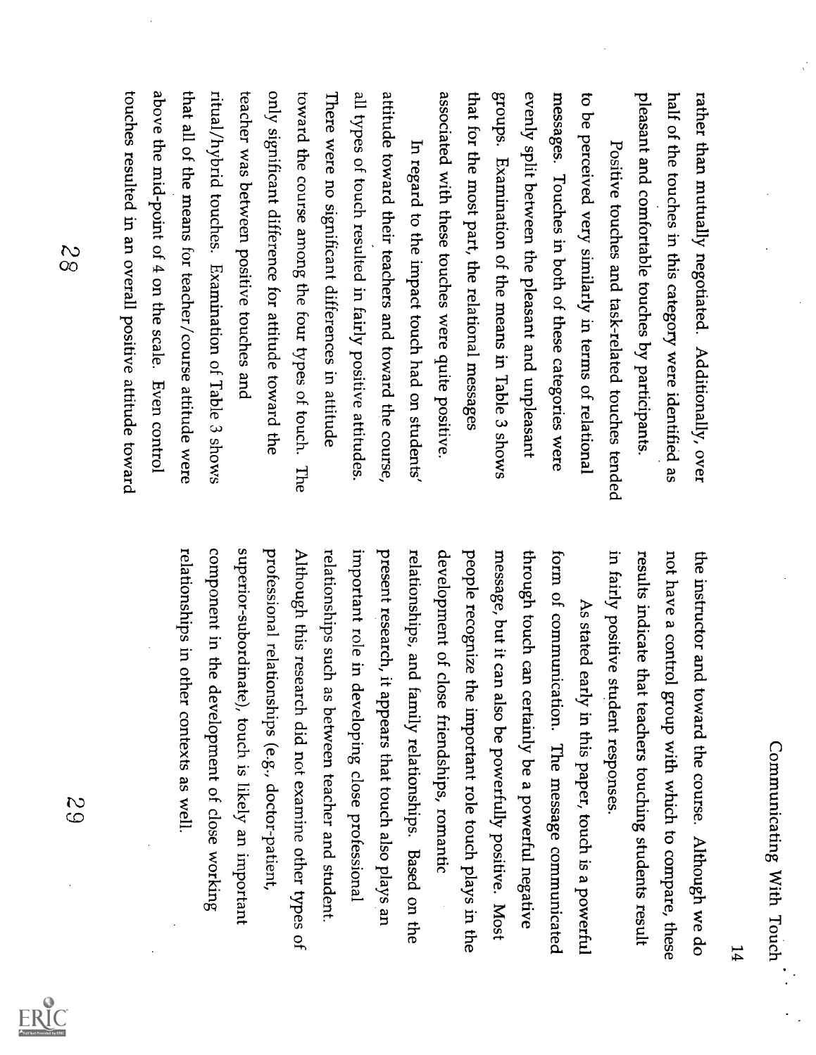rather than mutually negotiated. Additionally, over<br>rather than mutually negotiated. Additionally, over<br>plane the deconormic map are and the perturies as positive trouches by pertiripants.<br>Personive trouches in this categ

the instructor and toward the course. Although we do<br>the instructor and toward the course. Although we do<br>not have a control group with which to compare, these<br>results inclicate that teachers touching students result<br>in f



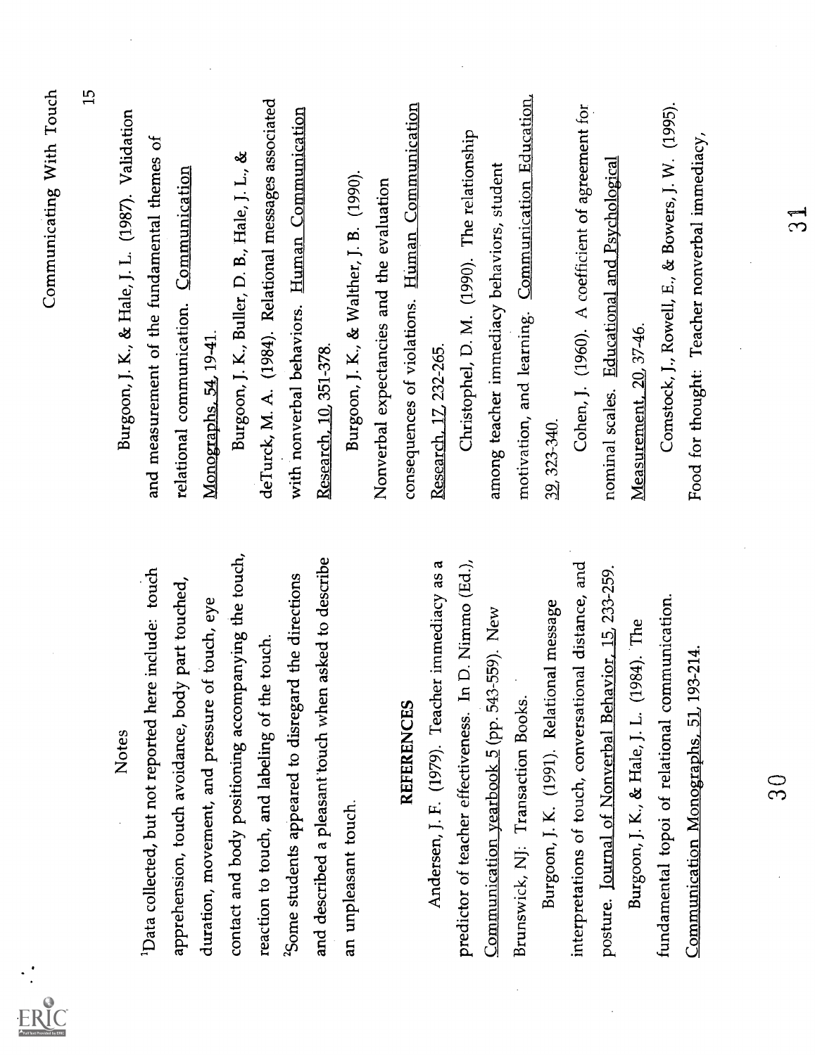| Food for thought: Teacher nonverbal immediacy,        | Communication Monographs, 51, 193-214.                            |
|-------------------------------------------------------|-------------------------------------------------------------------|
| Comstock, J., Rowell, E., & Bowers, J. W. (1995).     | fundamental topoi of relational communication.                    |
| Measurement, 20, 37-46.                               | $(1984)$ . The<br>Burgoon, J. K., & Hale, J. L.                   |
| nominal scales. Educational and Psychological         | posture. Journal of Nonverbal Behavior, 15, 233-259.              |
| Cohen, J. (1960). A coefficient of agreement for      | interpretations of touch, conversational distance, and            |
| 39, 323-340.                                          | Burgoon, J. K. (1991). Relational message                         |
| motivation, and learning. Communication Education,    | Brunswick, NJ: Transaction Books                                  |
| among teacher immediacy behaviors, student            | Communication yearbook 5 (pp. 543-559). New                       |
| Christophel, D. M. (1990). The relationship           | In D. Nimmo (Ed.),<br>predictor of teacher effectiveness.         |
| Research, 17, 232-265.                                | Andersen, J. F. (1979). Teacher immediacy as a                    |
| consequences of violations. Human Communication       | <b>REFERENCES</b>                                                 |
| Nonverbal expectancies and the evaluation             |                                                                   |
| Burgoon, J. K., & Walther, J. B. (1990).              | an unpleasant touch.                                              |
| Research, 10, 351-378.                                | and described a pleasant touch when asked to describe             |
| with nonverbal behaviors. Human Communication         | <sup>2</sup> Some students appeared to disregard the directions   |
| deTurck, M. A. (1984). Relational messages associated | reaction to touch, and labeling of the touch.                     |
| Burgoon, J. K., Buller, D. B., Hale, J. L., &         | contact and body positioning accompanying the touch,              |
| Monographs, 54, 19-41.                                | duration, movement, and pressure of touch, eye                    |
| relational communication. Communication               | apprehension, touch avoidance, body part touched,                 |
| and measurement of the fundamental themes of          | <sup>1</sup> Data collected, but not reported here include: touch |
| Burgoon, J. K., & Hale, J. L. (1987). Validation      | <b>Notes</b>                                                      |
| <u>ញ</u>                                              |                                                                   |
| Communicating With Touch                              |                                                                   |

 $\frac{1}{2}$ 

ERIC

 $30$ 

 $\frac{1}{3}$ 

l.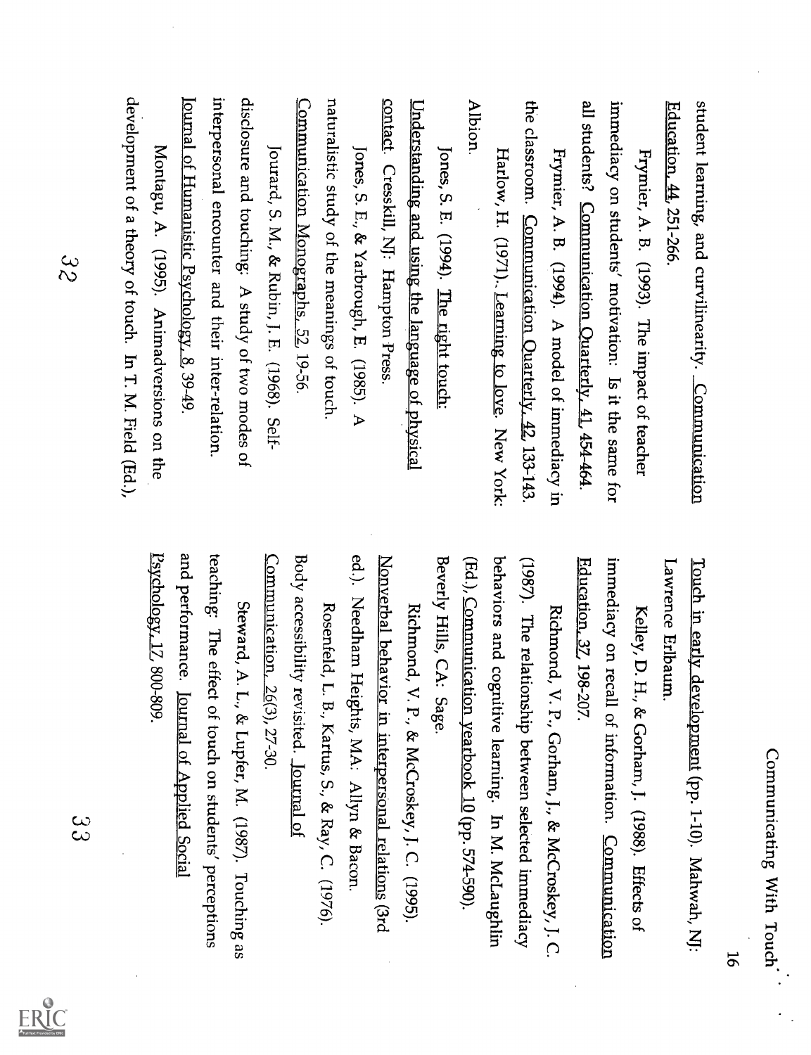| ١<br>י<br>;<br>ė<br>֧֧֧֧֧֧֧֦֧֧֦֧֧֦֧֦֧֦֧֦֧֧֦֧֧֧֦֧֧֧֧֦֧֚֬֕֓֕֓֓֕֓֝֬֓֓֓֓֓֜֓֜֓֓֓֓֓֓ |
|--------------------------------------------------------------------------------|
| ;<br>;                                                                         |
| ì<br>١                                                                         |

student learning, and curvilinearity. <u>Communication</u><br>
Education, 44, 251-266.<br>
Furbaric, A. B. (1993). The impact of teacher<br>
Furbaric, A. B. (1993). The impact of teacher<br>
Furbaric, A. B. (1993). The impact of teacher<br>

Touch in early development (pp. 1-10). Mahwah, Ni;<br>
Lawrence Erlbaum.<br>
Kelley, D. H., & Cocham, J. (1988). Effects of<br>
Ficaristics on recall of information.<br>
Subserburood, V. P., Cocham, J., & McCreskey, J. C.<br>
(1987). Th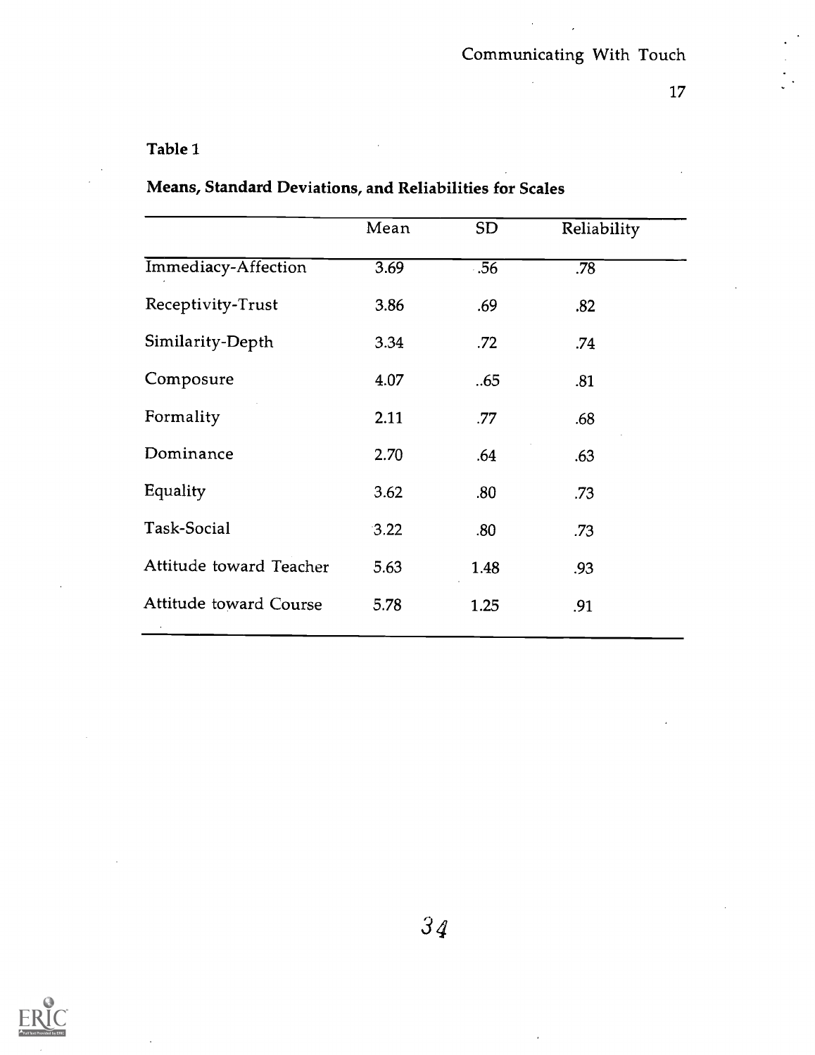$\mathbf{r}$ 

 $\sim$ 

## Table 1

|                         | Mean | SD <sub>1</sub> | Reliability |
|-------------------------|------|-----------------|-------------|
| Immediacy-Affection     | 3.69 | .56             | .78         |
| Receptivity-Trust       | 3.86 | .69             | .82         |
| Similarity-Depth        | 3.34 | .72             | .74         |
| Composure               | 4.07 | .65             | .81         |
| Formality               | 2.11 | .77             | .68         |
| Dominance               | 2.70 | .64             | .63         |
| Equality                | 3.62 | .80             | .73         |
| Task-Social             | 3.22 | .80             | .73         |
| Attitude toward Teacher | 5.63 | 1.48            | .93         |
| Attitude toward Course  | 5.78 | 1.25            | .91         |
|                         |      |                 |             |

Means, Standard Deviations, and Reliabilities for Scales

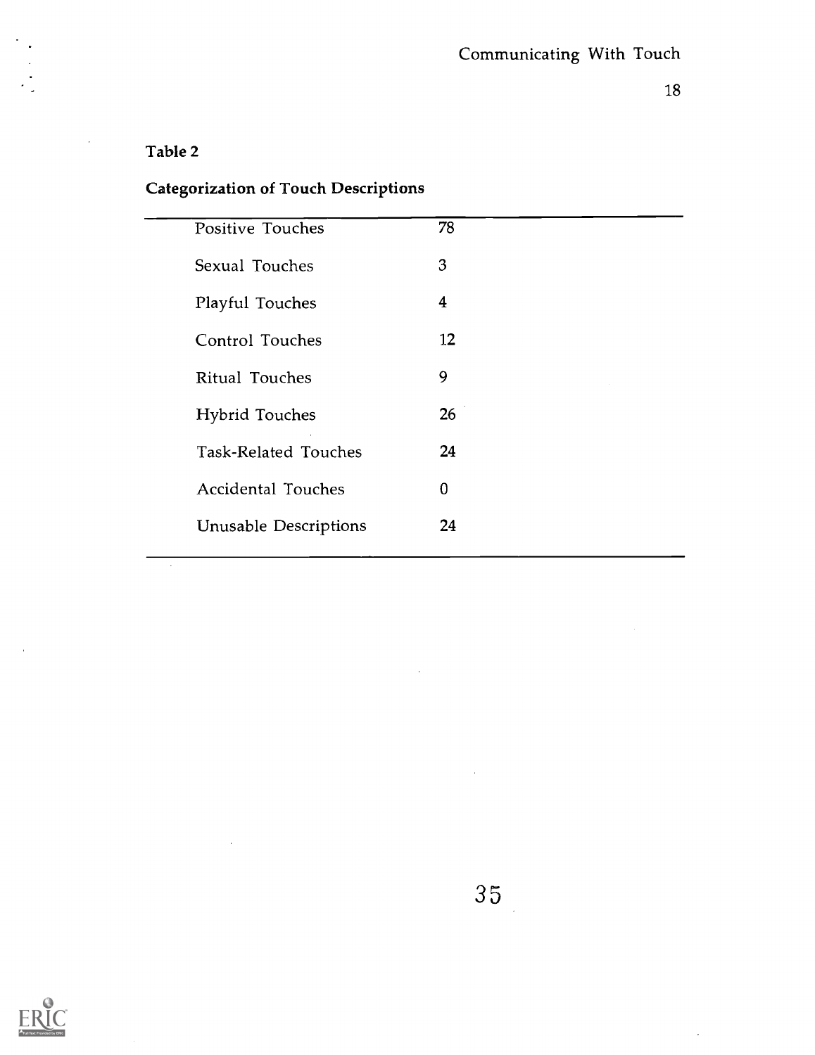$\ddot{\phantom{a}}$ 

#### Table 2

 $\bar{\beta}$ 

# Categorization of Touch Descriptions

| Positive Touches             | 78 |
|------------------------------|----|
| Sexual Touches               | 3  |
| Playful Touches              | 4  |
| Control Touches              | 12 |
| Ritual Touches               | 9  |
| <b>Hybrid Touches</b>        | 26 |
| Task-Related Touches         | 24 |
| <b>Accidental Touches</b>    | 0  |
| <b>Unusable Descriptions</b> | 24 |
|                              |    |



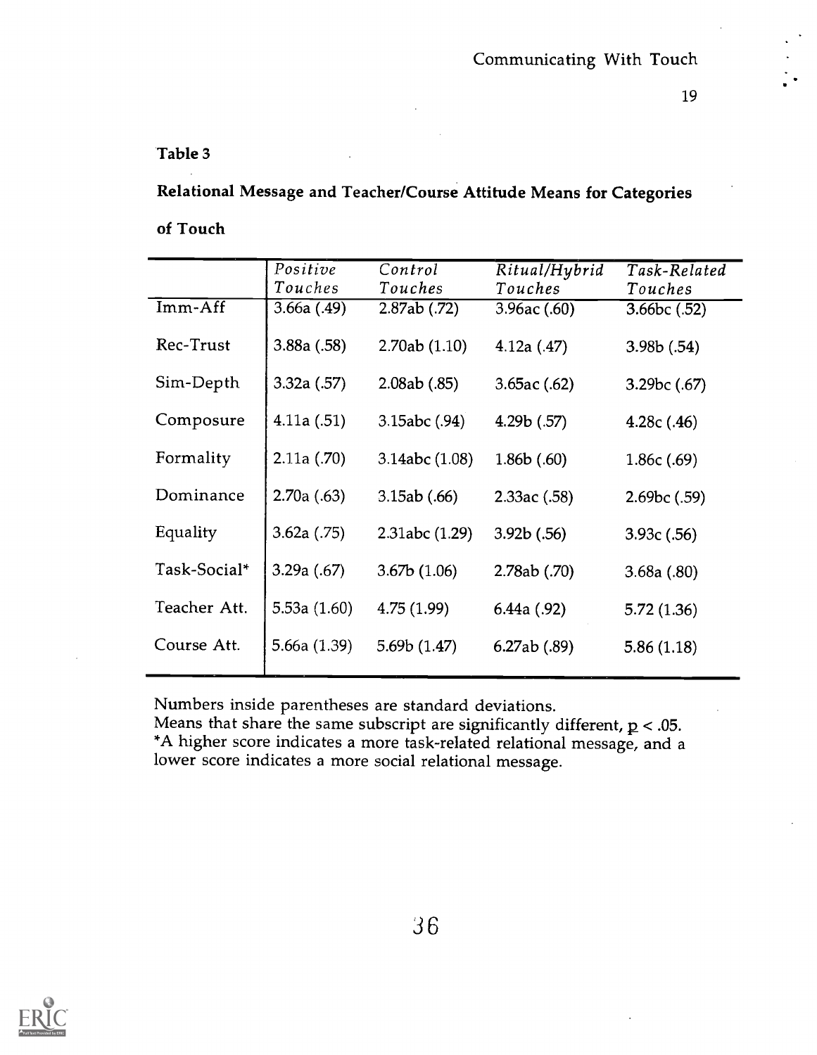#### Table 3

## Relational Message and Teacher/Course Attitude Means for Categories

#### of Touch

|              | Positive       | Control        | Ritual/Hybrid | Task-Related |
|--------------|----------------|----------------|---------------|--------------|
|              | Touches        | Touches        | Touches       | Touches      |
| Imm-Aff      | 3.66a(0.49)    | $2.87ab$ (.72) | 3.96ac(60)    | 3.66bc (.52) |
| Rec-Trust    | 3.88a(.58)     | 2.70ab(1.10)   | 4.12a(.47)    | 3.98b(.54)   |
| Sim-Depth    | 3.32a(.57)     | 2.08ab(.85)    | 3.65ac(.62)   | 3.29bc(.67)  |
| Composure    | 4.11a(.51)     | 3.15abc(0.94)  | 4.29b(.57)    | 4.28c(.46)   |
| Formality    | 2.11a(.70)     | 3.14abc (1.08) | 1.86b(0.60)   | 1.86c (.69)  |
| Dominance    | 2.70a(0.63)    | 3.15ab(.66)    | 2.33ac(.58)   | 2.69bc(.59)  |
| Equality     | 3.62a(0.75)    | 2.31abc(1.29)  | 3.92b(.56)    | 3.93c(.56)   |
| Task-Social* | 3.29a(.67)     | 3.67b(1.06)    | 2.78ab (.70)  | 3.68a(.80)   |
| Teacher Att. | 5.53a $(1.60)$ | 4.75(1.99)     | 6.44a(0.92)   | 5.72(1.36)   |
| Course Att.  | 5.66a (1.39)   | 5.69b(1.47)    | 6.27ab(0.89)  | 5.86(1.18)   |

Numbers inside parentheses are standard deviations.

Means that share the same subscript are significantly different,  $p < .05$ . \*A higher score indicates a more task-related relational message, and a lower score indicates a more social relational message.

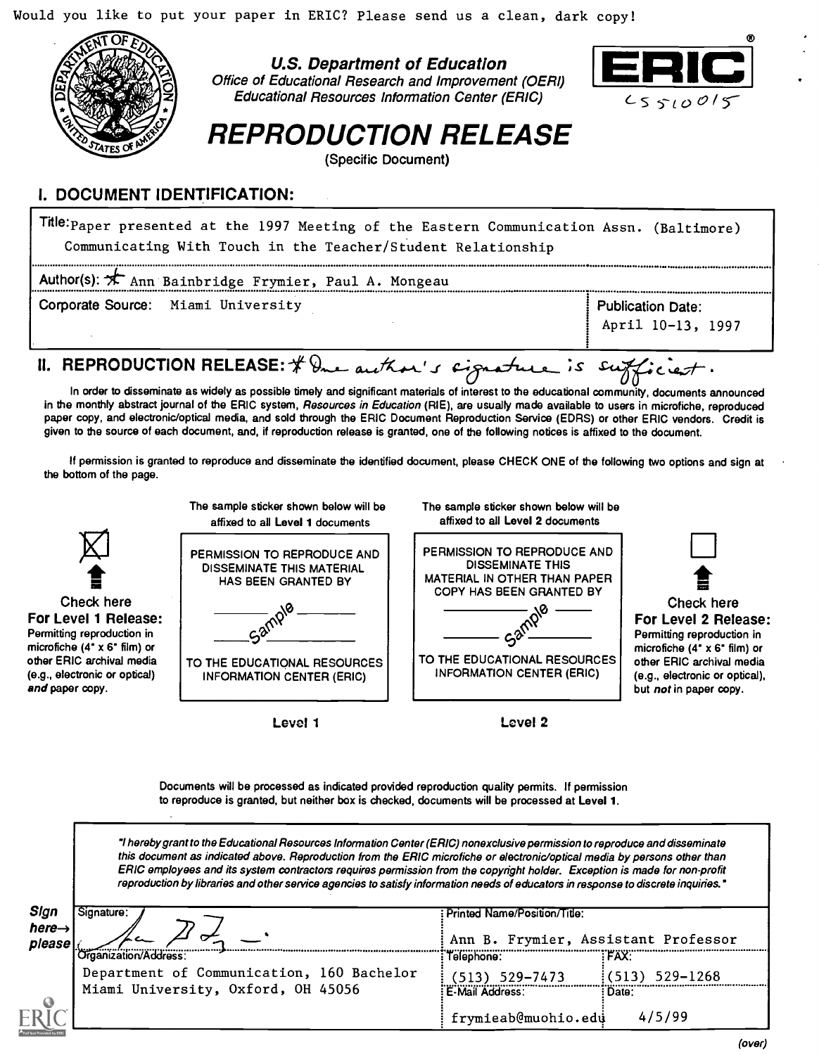Would you like to put your paper in ERIC? Please send us a clean, dark copy!



U.S. Department of Education Office of Educational Research and Improvement (OERI) Educational Resources Infonnation Center (ERIC)



REPRODUCTION RELEASE

(Specific Document)

#### I. DOCUMENT IDENTIFICATION:

Tile: Paper presented at the 1997 Meeting of the Eastern Communication Assn. (Baltimore) Communicating With Touch in the Teacher/Student Relationship

| Author(s): X Ann Bainbridge Frymier, Paul A. Mongeau                      |                                               |  |  |  |
|---------------------------------------------------------------------------|-----------------------------------------------|--|--|--|
| Corporate Source: Miami University                                        | <b>Publication Date:</b><br>April 10-13, 1997 |  |  |  |
| II. REPRODUCTION RELEASE: $\oint$ and another 's cignature is sufficient. |                                               |  |  |  |

In order to disseminate as widely as possible timely and significant materials of interest to the educational community, documents announced in the monthly abstract journal of the ERIC system, Resources in Education (RIE), are usually made available to users in microfiche, reproduced paper copy, and electronic/optical media, and sold through the ERIC Document Reproduction Service (EDRS) or other ERIC vendors. Credit is given to the source of each document, and, if reproduction release is granted, one of the following notices is affixed to the document.

If permission is granted to reproduce and disseminate the identified document, please CHECK ONE of the following two options and sign at the bottom of the page.



Documents will be processed as indicated provided reproduction quality permits. If permission to reproduce is granted, but neither box is checked, documents will be processed at Level 1.

"I hereby grant to the Educational Resources Information Center (ERIC) nonexclusive permission to reproduce and disseminate this document as indicated above. Reproduction from the ERIC microfiche or electronic/optical media by persons other than ERIC employees and its system contractors requires permission from the copyright holder. Exception is made for non-profit reproduction by libraries and other service agencies to satisfy information needs of educators in response to discrete inquiries."

| Sign<br>here $\rightarrow$<br>please | Signature:                                                                                               | Printed Name/Position/Title:<br>Ann B. Frymier, Assistant Professor |                             |
|--------------------------------------|----------------------------------------------------------------------------------------------------------|---------------------------------------------------------------------|-----------------------------|
|                                      | Organization/Address:<br>Department of Communication, 160 Bachelor<br>Miami University, Oxford, OH 45056 | Telephone:<br>(513) 529–7473<br>E-Mail Address:                     | FAX.<br>529-1268<br>: Date: |
|                                      |                                                                                                          | frymieab@muohio.edu                                                 | 4/5/99                      |